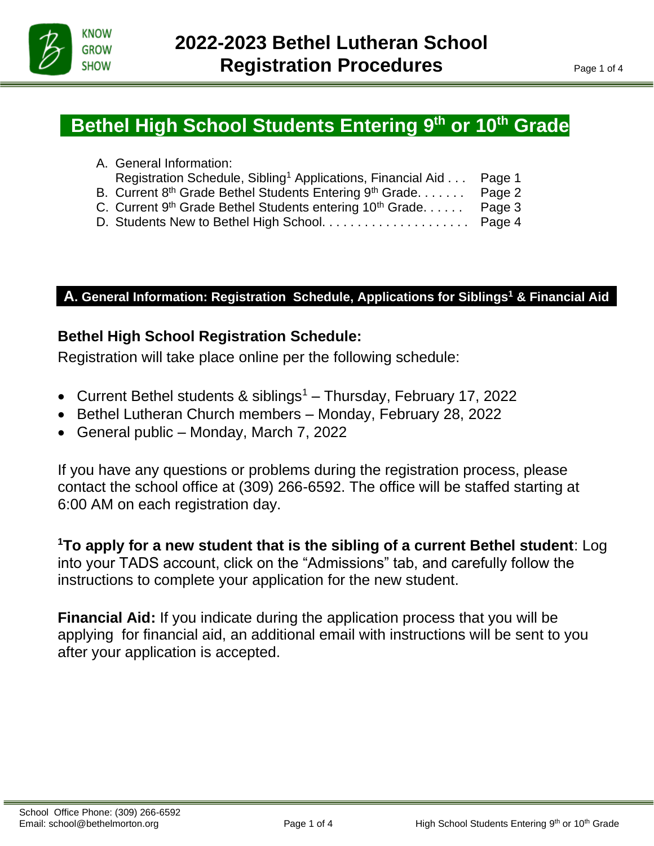

İ

# **Bethel High School Students Entering 9<sup>th</sup> or 10<sup>th</sup> Grade**

| A. General Information:                                                        |  |
|--------------------------------------------------------------------------------|--|
| Registration Schedule, Sibling <sup>1</sup> Applications, Financial Aid Page 1 |  |
| B. Current 8th Grade Bethel Students Entering 9th Grade Page 2                 |  |
| C. Current 9th Grade Bethel Students entering 10th Grade Page 3                |  |
|                                                                                |  |

# **A. General Information: Registration Schedule, Applications for Siblings<sup>1</sup> & Financial Aid**

# **Bethel High School Registration Schedule:**

Registration will take place online per the following schedule:

- Current Bethel students & siblings<sup>1</sup> Thursday, February 17, 2022
- Bethel Lutheran Church members Monday, February 28, 2022
- General public Monday, March 7, 2022

If you have any questions or problems during the registration process, please contact the school office at (309) 266-6592. The office will be staffed starting at 6:00 AM on each registration day.

**<sup>1</sup>To apply for a new student that is the sibling of a current Bethel student**: Log into your TADS account, click on the "Admissions" tab, and carefully follow the instructions to complete your application for the new student.

**Financial Aid:** If you indicate during the application process that you will be applying for financial aid, an additional email with instructions will be sent to you after your application is accepted.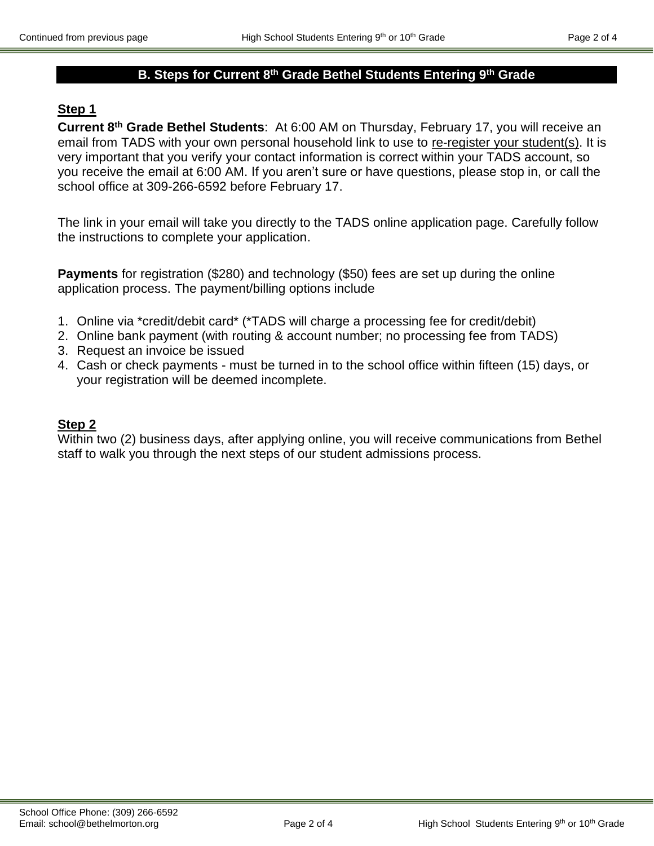# **B. Steps for Current 8th Grade Bethel Students Entering 9th Grade**

## **Step 1**

**Current 8 th Grade Bethel Students**: At 6:00 AM on Thursday, February 17, you will receive an email from TADS with your own personal household link to use to re-register your student(s). It is very important that you verify your contact information is correct within your TADS account, so you receive the email at 6:00 AM. If you aren't sure or have questions, please stop in, or call the school office at 309-266-6592 before February 17.

The link in your email will take you directly to the TADS online application page. Carefully follow the instructions to complete your application.

**Payments** for registration (\$280) and technology (\$50) fees are set up during the online application process. The payment/billing options include

- 1. Online via \*credit/debit card\* (\*TADS will charge a processing fee for credit/debit)
- 2. Online bank payment (with routing & account number; no processing fee from TADS)
- 3. Request an invoice be issued
- 4. Cash or check payments must be turned in to the school office within fifteen (15) days, or your registration will be deemed incomplete.

#### **Step 2**

Within two (2) business days, after applying online, you will receive communications from Bethel staff to walk you through the next steps of our student admissions process.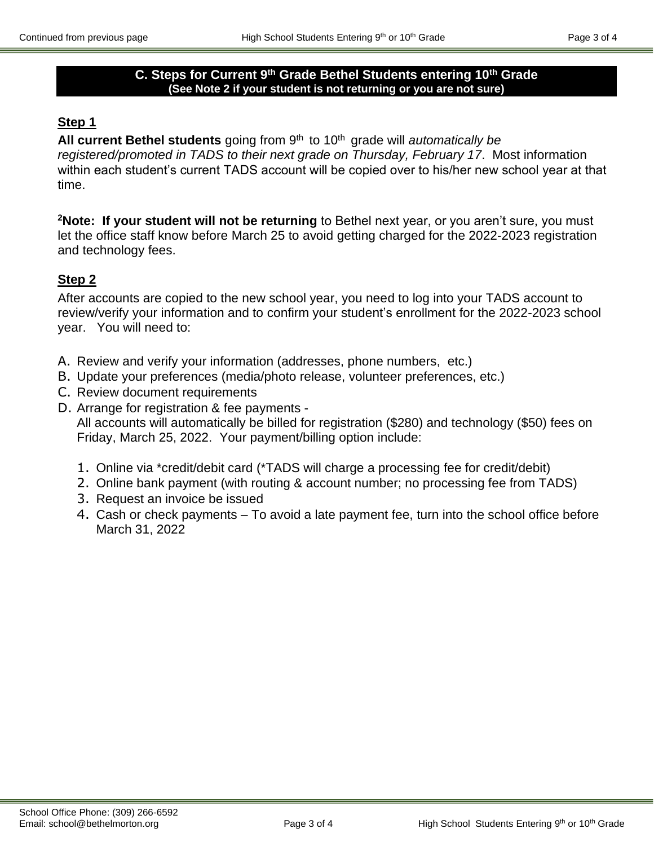#### **C. Steps for Current 9th Grade Bethel Students entering 10th Grade (See Note 2 if your student is not returning or you are not sure)**

## **Step 1**

All current Bethel students going from 9<sup>th</sup> to 10<sup>th</sup> grade will *automatically be registered/promoted in TADS to their next grade on Thursday, February 17*. Most information within each student's current TADS account will be copied over to his/her new school year at that time.

**<sup>2</sup>Note: If your student will not be returning** to Bethel next year, or you aren't sure, you must let the office staff know before March 25 to avoid getting charged for the 2022-2023 registration and technology fees.

# **Step 2**

After accounts are copied to the new school year, you need to log into your TADS account to review/verify your information and to confirm your student's enrollment for the 2022-2023 school year. You will need to:

- A. Review and verify your information (addresses, phone numbers, etc.)
- B. Update your preferences (media/photo release, volunteer preferences, etc.)
- C. Review document requirements
- D. Arrange for registration & fee payments All accounts will automatically be billed for registration (\$280) and technology (\$50) fees on Friday, March 25, 2022. Your payment/billing option include:
	- 1. Online via \*credit/debit card (\*TADS will charge a processing fee for credit/debit)
	- 2. Online bank payment (with routing & account number; no processing fee from TADS)
	- 3. Request an invoice be issued
	- 4. Cash or check payments To avoid a late payment fee, turn into the school office before March 31, 2022